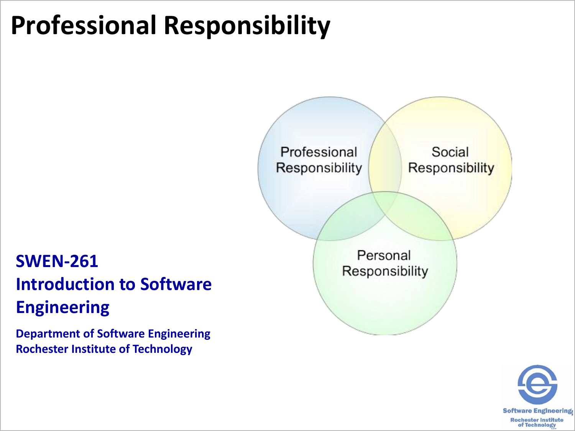## **Professional Responsibility**

# Professional Social **Responsibility** Responsibility Personal Responsibility



#### **SWEN-261 Introduction to Software Engineering**

**Department of Software Engineering Rochester Institute of Technology**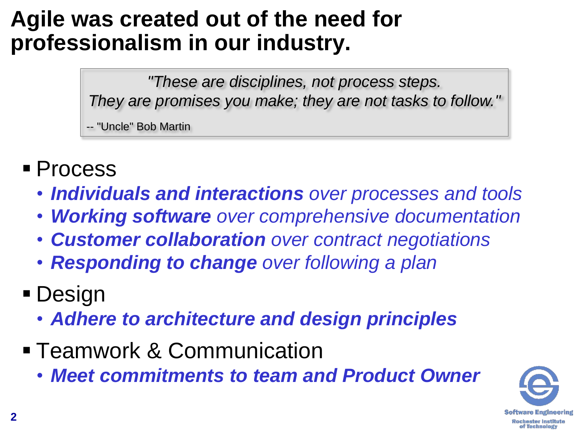#### **Agile was created out of the need for professionalism in our industry.**

*"These are disciplines, not process steps. They are promises you make; they are not tasks to follow."*

-- "Uncle" Bob Martin

- **Process** 
	- *Individuals and interactions over processes and tools*
	- *Working software over comprehensive documentation*
	- *Customer collaboration over contract negotiations*
	- *Responding to change over following a plan*
- **Design** 
	- *Adhere to architecture and design principles*
- **Teamwork & Communication** 
	- *Meet commitments to team and Product Owner*

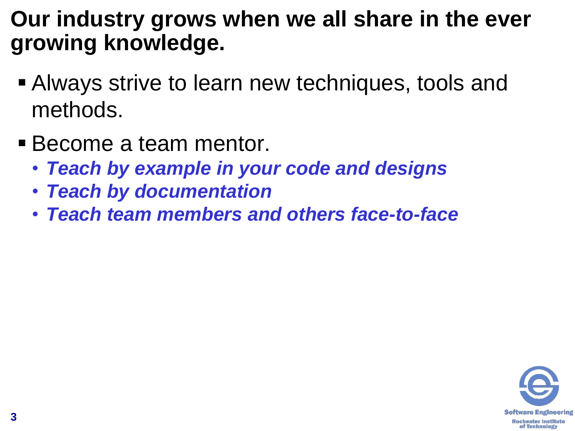#### **Our industry grows when we all share in the ever growing knowledge.**

- **Always strive to learn new techniques, tools and** methods.
- Become a team mentor.
	- *Teach by example in your code and designs*
	- *Teach by documentation*
	- *Teach team members and others face-to-face*

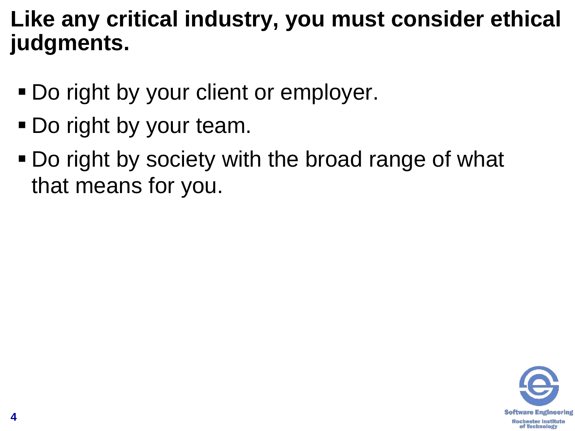#### **Like any critical industry, you must consider ethical judgments.**

- Do right by your client or employer.
- Do right by your team.
- Do right by society with the broad range of what that means for you.

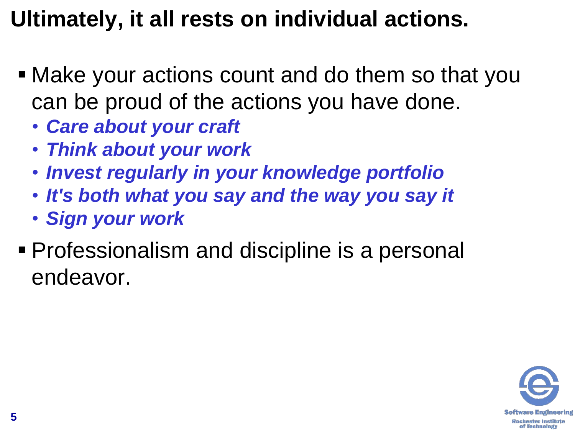### **Ultimately, it all rests on individual actions.**

- Make your actions count and do them so that you can be proud of the actions you have done.
	- *Care about your craft*
	- *Think about your work*
	- *Invest regularly in your knowledge portfolio*
	- *It's both what you say and the way you say it*
	- *Sign your work*
- Professionalism and discipline is a personal endeavor.